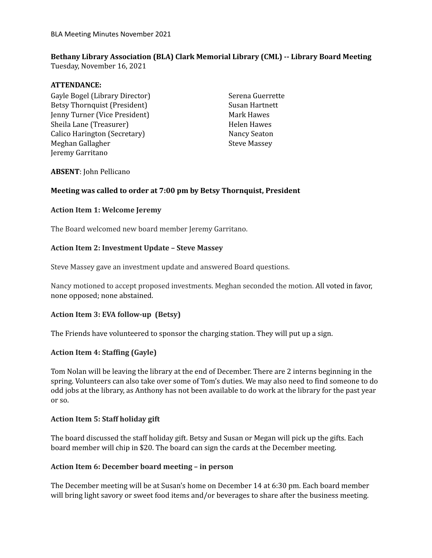# **Bethany Library Association (BLA) Clark Memorial Library (CML) -- Library Board Meeting**

Tuesday, November 16, 2021

## **ATTENDANCE:**

Gayle Bogel (Library Director) Betsy Thornquist (President) Jenny Turner (Vice President) Sheila Lane (Treasurer) Calico Harington (Secretary) Meghan Gallagher Jeremy Garritano

Serena Guerrette Susan Hartnett Mark Hawes Helen Hawes Nancy Seaton Steve Massey

#### **ABSENT**: John Pellicano

## **Meeting was called to order at 7:00 pm by Betsy Thornquist, President**

## **Action Item 1: Welcome Jeremy**

The Board welcomed new board member Jeremy Garritano.

## **Action Item 2: Investment Update – Steve Massey**

Steve Massey gave an investment update and answered Board questions.

Nancy motioned to accept proposed investments. Meghan seconded the motion. All voted in favor, none opposed; none abstained.

# **Action Item 3: EVA follow-up (Betsy)**

The Friends have volunteered to sponsor the charging station. They will put up a sign.

# **Action Item 4: Staffing (Gayle)**

Tom Nolan will be leaving the library at the end of December. There are 2 interns beginning in the spring. Volunteers can also take over some of Tom's duties. We may also need to find someone to do odd jobs at the library, as Anthony has not been available to do work at the library for the past year or so.

#### **Action Item 5: Staff holiday gift**

The board discussed the staff holiday gift. Betsy and Susan or Megan will pick up the gifts. Each board member will chip in \$20. The board can sign the cards at the December meeting.

#### **Action Item 6: December board meeting – in person**

The December meeting will be at Susan's home on December 14 at 6:30 pm. Each board member will bring light savory or sweet food items and/or beverages to share after the business meeting.